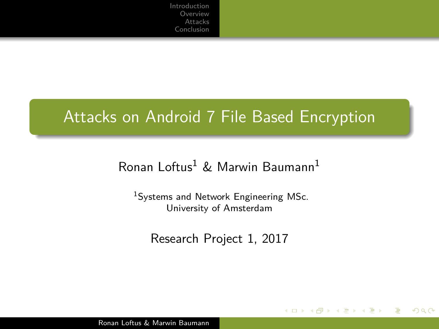# Attacks on Android 7 File Based Encryption

## Ronan Loftus<sup>1</sup> & Marwin Baumann<sup>1</sup>

<sup>1</sup>Systems and Network Engineering MSc. University of Amsterdam

Research Project 1, 2017

4 17 18

イヨメ イヨメ

つくい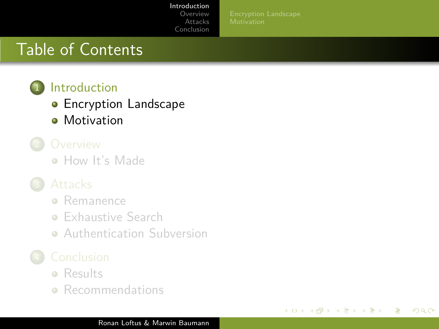### [Introduction](#page-1-0)

**[Overview](#page-8-0)** [Attacks](#page-14-0) [Conclusion](#page-25-0)

4日)

イヨメ イヨメ

つくい

# <span id="page-1-0"></span>Table of Contents



**•** [Encryption Landscape](#page-2-0)

- **•** [Motivation](#page-4-0)
- - [How It's Made](#page-9-0)

- **•** [Remanence](#page-17-0)
- **[Exhaustive Search](#page-18-0)**
- **[Authentication Subversion](#page-22-0)**

- **e** [Results](#page-26-0)
- **•** [Recommendations](#page-34-0)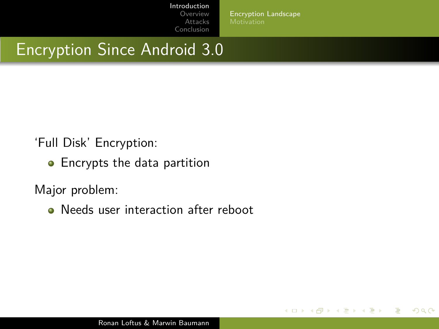[Encryption Landscape](#page-2-0)

メロメス 何メス ミメスミメー

 $299$ 

# <span id="page-2-0"></span>Encryption Since Android 3.0

'Full Disk' Encryption:

• Encrypts the data partition

Major problem:

• Needs user interaction after reboot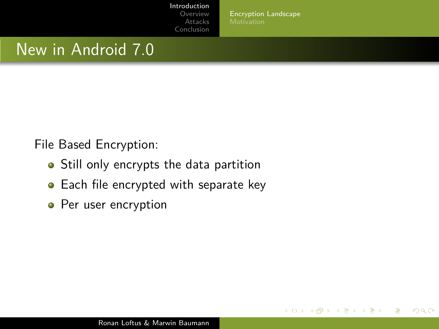[Encryption Landscape](#page-2-0)

4 0 8

∢何 ▶ ∢ ヨ ▶ ∢ ヨ ▶

 $299$ 

## New in Android 7.0

File Based Encryption:

- Still only encrypts the data partition
- Each file encrypted with separate key
- Per user encryption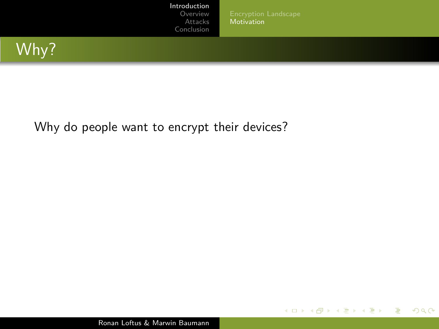[Introduction](#page-1-0)

[Overview](#page-8-0) [Attacks](#page-14-0) [Conclusion](#page-25-0)

[Encryption Landscape](#page-2-0) [Motivation](#page-5-0)

**K ロ ▶ K 御 ▶ K 君 ▶ K 君 ▶** 

E

 $299$ 

<span id="page-4-0"></span>

### Why do people want to encrypt their devices?

Ronan Loftus & Marwin Baumann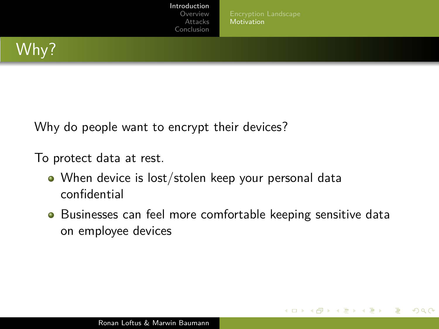[Motivation](#page-4-0)

**ALCOHOL:** 

**K 何 ▶ ス ヨ ▶ ス ヨ ▶** 

 $299$ 

<span id="page-5-0"></span>

Why do people want to encrypt their devices?

To protect data at rest.

- When device is lost/stolen keep your personal data confidential
- **•** Businesses can feel more comfortable keeping sensitive data on employee devices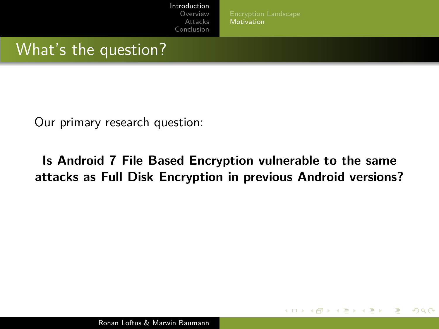**[Motivation](#page-4-0)** 

4 17 18

**K 何 ▶ ス ヨ ▶ ス ヨ ▶** 

 $299$ 

## What's the question?

Our primary research question:

## **Is Android 7 File Based Encryption vulnerable to the same attacks as Full Disk Encryption in previous Android versions?**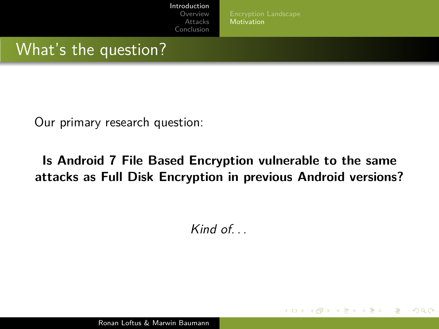**[Motivation](#page-4-0)** 

4 17 18

**K 何 ▶ ス ヨ ▶ ス ヨ ▶** 

 $299$ 

## What's the question?

Our primary research question:

## **Is Android 7 File Based Encryption vulnerable to the same attacks as Full Disk Encryption in previous Android versions?**

Kind of. . .

Ronan Loftus & Marwin Baumann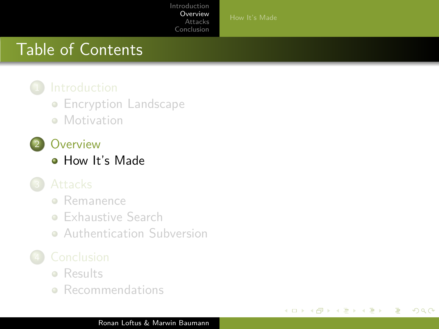$\leftarrow$ 

4 国 国

Э×

つくい

# <span id="page-8-0"></span>Table of Contents

**• [Encryption Landscape](#page-2-0)** 

- **[Motivation](#page-4-0)**
- 2 [Overview](#page-8-0)
	- [How It's Made](#page-9-0)

- **•** [Remanence](#page-17-0)
- **[Exhaustive Search](#page-18-0)**
- **[Authentication Subversion](#page-22-0)**

- **e** [Results](#page-26-0)
- **•** [Recommendations](#page-34-0)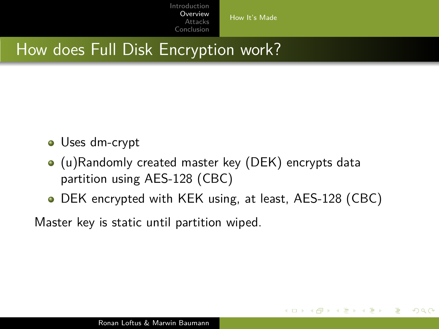[How It's Made](#page-9-0)

4 17 18

**K 何 ▶ ス ヨ ▶ ス ヨ ▶** 

 $299$ 

# <span id="page-9-0"></span>How does Full Disk Encryption work?

- Uses dm-crypt
- (u)Randomly created master key (DEK) encrypts data partition using AES-128 (CBC)
- DEK encrypted with KEK using, at least, AES-128 (CBC)

Master key is static until partition wiped.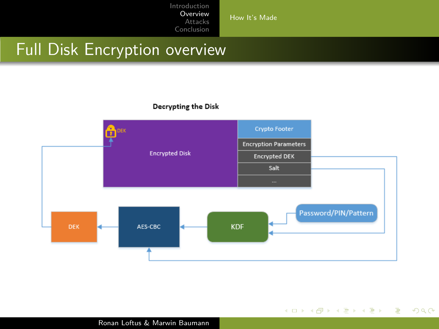[How It's Made](#page-9-0)

# Full Disk Encryption overview

### Decrypting the Disk



**K ロ ▶ K 御 ▶ K 君 ▶ K 君 ▶** 

E

 $2990$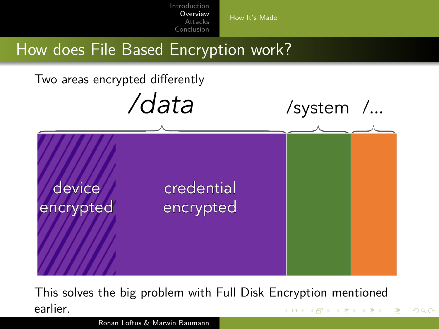

This solves the big problem with Full Disk Encryption mentioned earlier. ∢ロト ∢母 ▶ ∢ ヨ ▶ ∢ ヨ ▶

つくい

Ronan Loftus & Marwin Baumann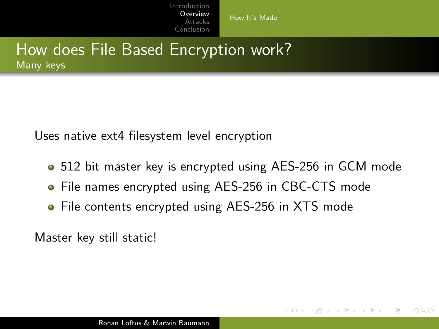[How It's Made](#page-9-0)

## How does File Based Encryption work? Many keys

Uses native ext4 filesystem level encryption

• 512 bit master key is encrypted using AES-256 in GCM mode

化重新化

 $\Omega$ 

- File names encrypted using AES-256 in CBC-CTS mode
- File contents encrypted using AES-256 in XTS mode

Master key still static!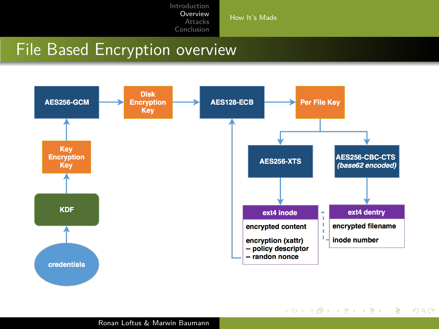[How It's Made](#page-9-0)

イロト イ押 トイヨ トイヨ トー

 $\equiv$ 

 $2990$ 

# File Based Encryption overview

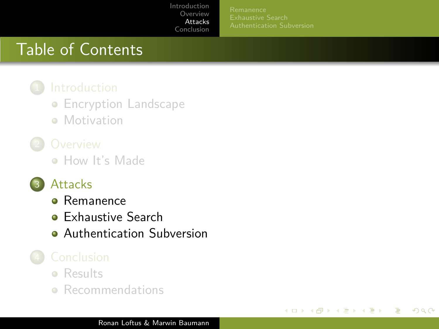4 0 8

化重新润量率

つくい

# <span id="page-14-0"></span>Table of Contents

**• [Encryption Landscape](#page-2-0)** 

**• [Motivation](#page-4-0)** 

• [How It's Made](#page-9-0)

## **[Attacks](#page-14-0)**

- **•** [Remanence](#page-17-0)
- **[Exhaustive Search](#page-18-0)**
- **[Authentication Subversion](#page-22-0)**

- **e** [Results](#page-26-0)
- **•** [Recommendations](#page-34-0)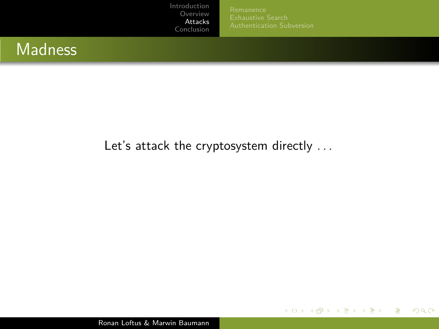**K ロ ▶ K 御 ▶ K 君 ▶ K 君 ▶** 

E

 $299$ 

## **Madness**

### Let's attack the cryptosystem directly ...

Ronan Loftus & Marwin Baumann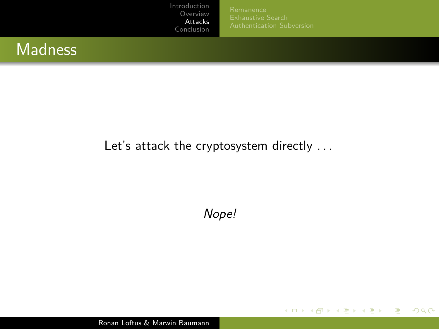**K ロ ▶ K 御 ▶ K 君 ▶ K 君 ▶** 

E

 $299$ 

## **Madness**

## Let's attack the cryptosystem directly ...

Nope!

Ronan Loftus & Marwin Baumann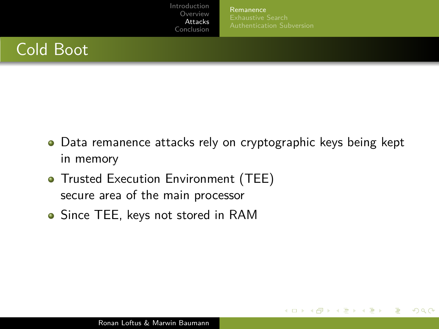[Remanence](#page-17-0)

メロメ メ母メ メミメメミメ

 $299$ 

# <span id="page-17-0"></span>Cold Boot

- Data remanence attacks rely on cryptographic keys being kept in memory
- **Trusted Execution Environment (TEE)** secure area of the main processor
- Since TEE, keys not stored in RAM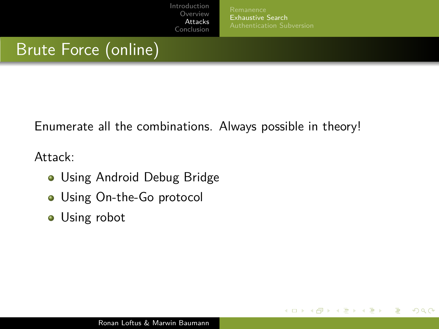[Exhaustive Search](#page-18-0)

メロメ メ母メ メミメメミメ

 $299$ 

# <span id="page-18-0"></span>Brute Force (online)

Enumerate all the combinations. Always possible in theory!

Attack:

- Using Android Debug Bridge
- **.** Using On-the-Go protocol
- Using robot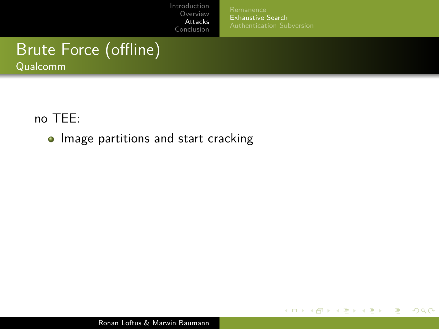[Remanence](#page-17-0) [Exhaustive Search](#page-18-0)

メロトメ部 トメミトメミト

 $2990$ 

э

# Brute Force (offline)

Qualcomm

no TEE:

• Image partitions and start cracking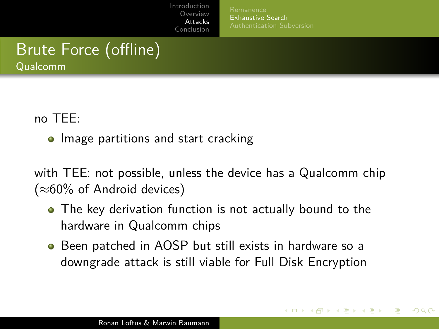[Exhaustive Search](#page-18-0)

∢ 何 ▶ ∢ 手 ▶ ∢ 手 ▶

 $\Omega$ 

# Brute Force (offline)

Qualcomm

no TEE:

• Image partitions and start cracking

with TEE: not possible, unless the device has a Qualcomm chip  $(\approx 60\%$  of Android devices)

- The key derivation function is not actually bound to the hardware in Qualcomm chips
- Been patched in AOSP but still exists in hardware so a downgrade attack is still viable for Full Disk Encryption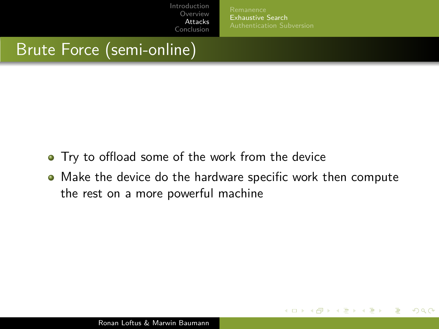[Exhaustive Search](#page-18-0)

イロト イ母 トイヨ トイヨ トー

 $299$ 

# Brute Force (semi-online)

- **•** Try to offload some of the work from the device
- Make the device do the hardware specific work then compute the rest on a more powerful machine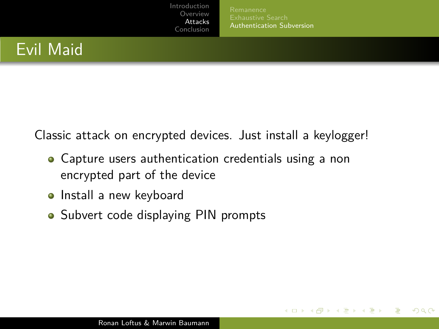[Authentication Subversion](#page-22-0)

**≮ロト ⊀母 ト ⊀ ヨ ト ⊀ ヨ ト** .

 $299$ 

# <span id="page-22-0"></span>Evil Maid

Classic attack on encrypted devices. Just install a keylogger!

- Capture users authentication credentials using a non encrypted part of the device
- Install a new keyboard
- Subvert code displaying PIN prompts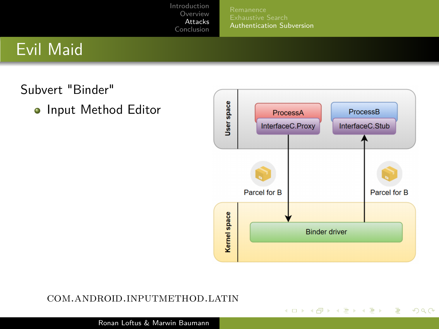[Authentication Subversion](#page-22-0)

# Evil Maid

Subvert "Binder"

o Input Method Editor



**K ロ ▶ K 御 ▶ K 君 ▶ K 君 ▶** 

E

 $QQ$ 

### com.android.inputmethod.latin

Ronan Loftus & Marwin Baumann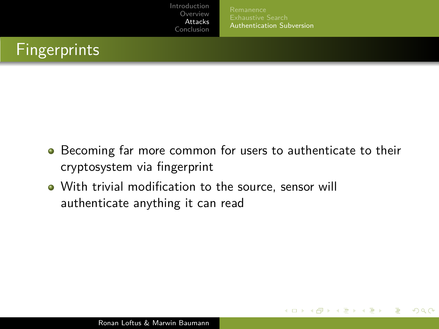[Authentication Subversion](#page-22-0)

∢ ロ ▶ ( 何 ) ( ミ ) ( ミ ) 。

 $299$ 

# Fingerprints

- **•** Becoming far more common for users to authenticate to their cryptosystem via fingerprint
- With trivial modification to the source, sensor will authenticate anything it can read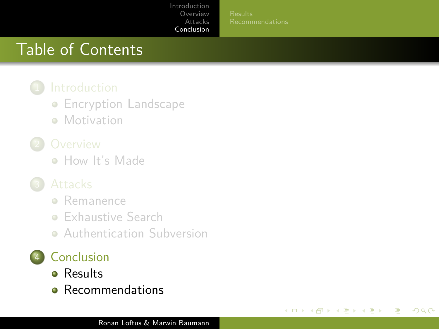4日)

イヨメ イヨメ

つくい

# <span id="page-25-0"></span>Table of Contents

- **[Encryption Landscape](#page-2-0)**
- **[Motivation](#page-4-0)**

• [How It's Made](#page-9-0)

- **•** [Remanence](#page-17-0)
- **[Exhaustive Search](#page-18-0)**
- **[Authentication Subversion](#page-22-0)**

## **[Conclusion](#page-25-0)**

- **e** [Results](#page-26-0)
- **e** [Recommendations](#page-34-0)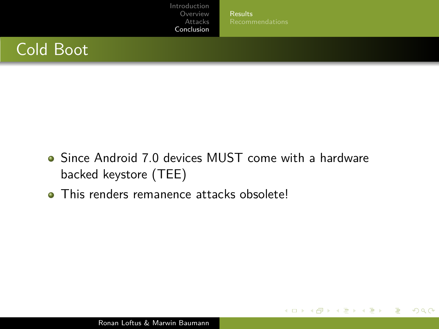[Results](#page-26-0)

 $2990$ 

э

イロト イ母 トイヨ トイヨ トー

# <span id="page-26-0"></span>Cold Boot

- Since Android 7.0 devices MUST come with a hardware backed keystore (TEE)
- **This renders remanence attacks obsolete!**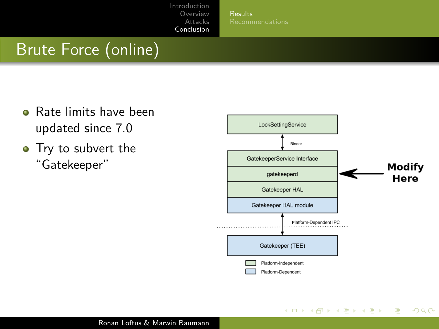[Results](#page-26-0)

# Brute Force (online)

- **o** Rate limits have been updated since 7.0
- Try to subvert the "Gatekeeper"



 $\left\{ \begin{array}{ccc} 1 & 0 & 0 \\ 0 & 1 & 0 \end{array} \right.$  ,  $\left\{ \begin{array}{ccc} \frac{1}{2} & 0 & 0 \\ 0 & 0 & 0 \end{array} \right.$ 

 $QQ$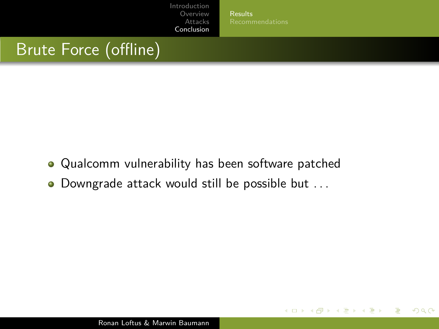[Results](#page-26-0)

メロメ メ母メ メミメメミメ

 $299$ 

# Brute Force (offline)

- Qualcomm vulnerability has been software patched
- Downgrade attack would still be possible but ...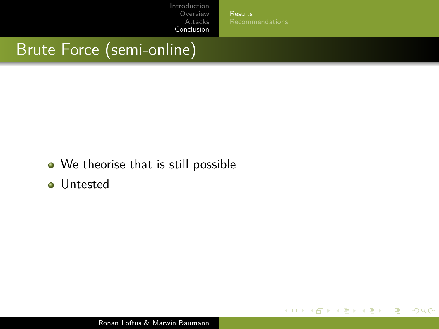[Results](#page-26-0)

 $2990$ 

э

**∢ロト ∢母 ト ∢ き ト ∢ き ト** 

# Brute Force (semi-online)

- We theorise that is still possible
- Untested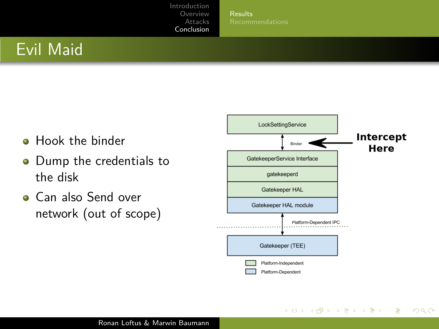[Results](#page-26-0)

イロト イ母 トイヨ トイヨト

 $QQ$ 

# Evil Maid

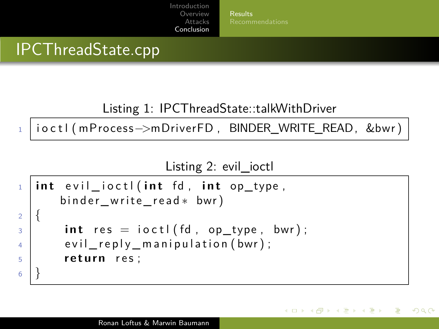[Results](#page-26-0)

∢ 何 ▶ ( ヨ ▶ ( ヨ ▶

 $\Omega$ 

# IPCThreadState.cpp

Listing 1: IPCThreadState::talkWithDriver

<sup>1</sup> i o c t l ( mP rocess−>mDriverFD , BINDER\_WRITE\_READ, &bwr )

Listing 2: evil ioctl

```
\frac{1}{1} int evil ioctl(int fd, int op type,
       binder write read * bwr)
2 \mid \}\begin{array}{c} 3 \end{array} int res = ioctl(fd, op type, bwr);
4 evil reply manipulation (bwr);
5 return res;
6 }
```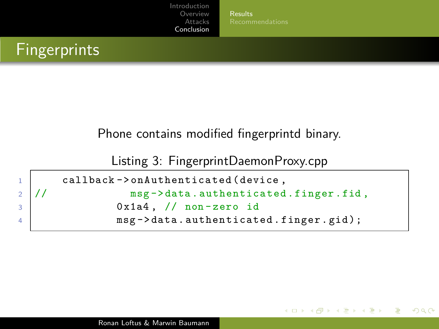[Results](#page-26-0)

医阿里氏阿里氏

つくい

# **Fingerprints**

### Phone contains modified fingerprintd binary.

Listing 3: FingerprintDaemonProxy.cpp

```
1 callback -> on Authenticated (device,
2 // msg -> data.authenticated.finger.fid,
3 0x1a4, // non-zero id
4 msg -> data.authenticated.finger.gid);
```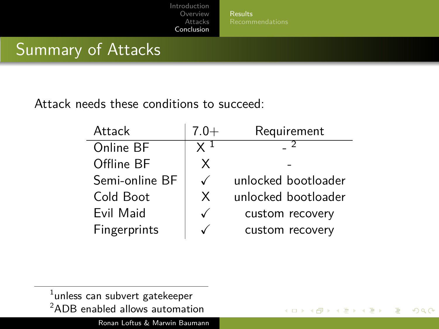**[Results](#page-26-0)** 

**◆ロ ▶ → 母** 

ミドマミド

 $QQ$ 

# Summary of Attacks

Attack needs these conditions to succeed:

| Attack         | $7.0+$       | Requirement         |
|----------------|--------------|---------------------|
| Online BF      |              |                     |
| Offline BF     | X            |                     |
| Semi-online BF | $\checkmark$ | unlocked bootloader |
| Cold Boot      | X            | unlocked bootloader |
| Evil Maid      | ✓            | custom recovery     |
| Fingerprints   |              | custom recovery     |

 $^{\rm 1}$ unless can subvert gatekeeper <sup>2</sup>ADB enabled allows automation

Ronan Loftus & Marwin Baumann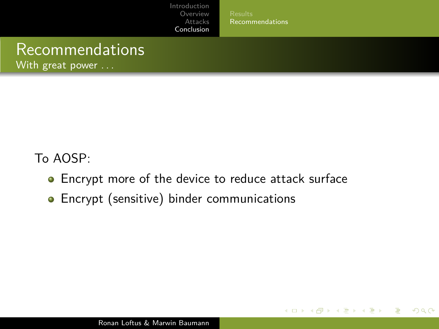[Recommendations](#page-34-0)

メロメ イ母メ メミメ メミメ

 $299$ 

# <span id="page-34-0"></span>Recommendations

With great power . . .

To AOSP:

- **•** Encrypt more of the device to reduce attack surface
- **•** Encrypt (sensitive) binder communications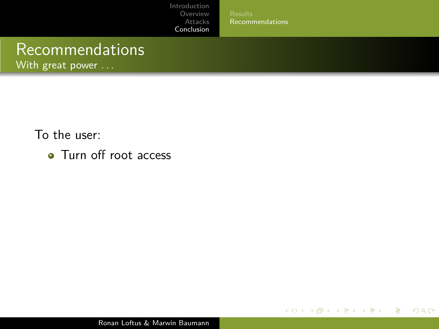[Results](#page-26-0) [Recommendations](#page-34-0)

 $\left\{ \begin{array}{ccc} 1 & 0 & 0 \\ 0 & 1 & 0 \end{array} \right.$  ,  $\left\{ \begin{array}{ccc} \frac{1}{2} & 0 & 0 \\ 0 & 0 & 0 \end{array} \right.$ 

E

 $2990$ 

# Recommendations

With great power ...

To the user:

• Turn off root access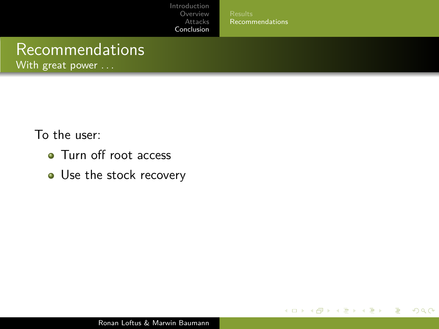[Recommendations](#page-34-0)

**∢ ロ ▶ ィ 何 ▶** 

医单位 医单位

 $QQ$ 

э

# Recommendations

With great power . . .

- Turn off root access
- Use the stock recovery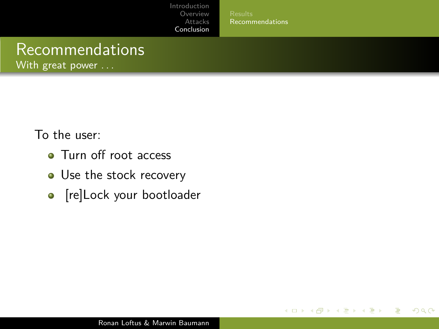[Recommendations](#page-34-0)

4 0 8

**K 何 ▶ K 手 ▶ K 手 ▶** 

 $QQ$ 

# Recommendations

With great power . . .

- Turn off root access
- Use the stock recovery
- [re]Lock your bootloader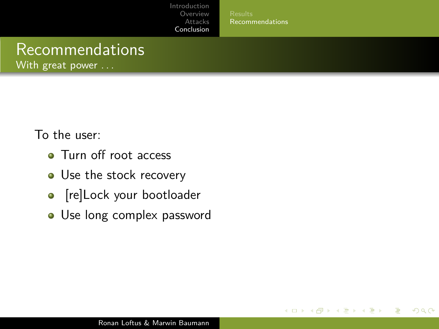[Recommendations](#page-34-0)

4 0 8

 $\sim$ 化重 网络 Э× つくい

# Recommendations

With great power . . .

- Turn off root access
- Use the stock recovery
- [re]Lock your bootloader
- Use long complex password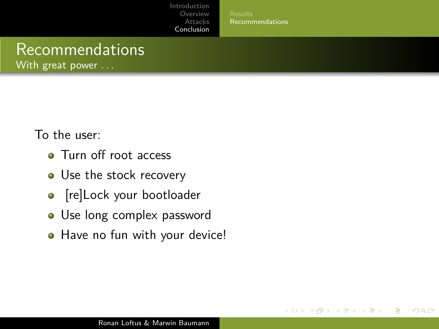[Recommendations](#page-34-0)

4 0 8

÷  $\sim$ Э× つくい

# Recommendations

With great power . . .

- Turn off root access
- Use the stock recovery
- [re]Lock your bootloader
- Use long complex password
- Have no fun with your device!